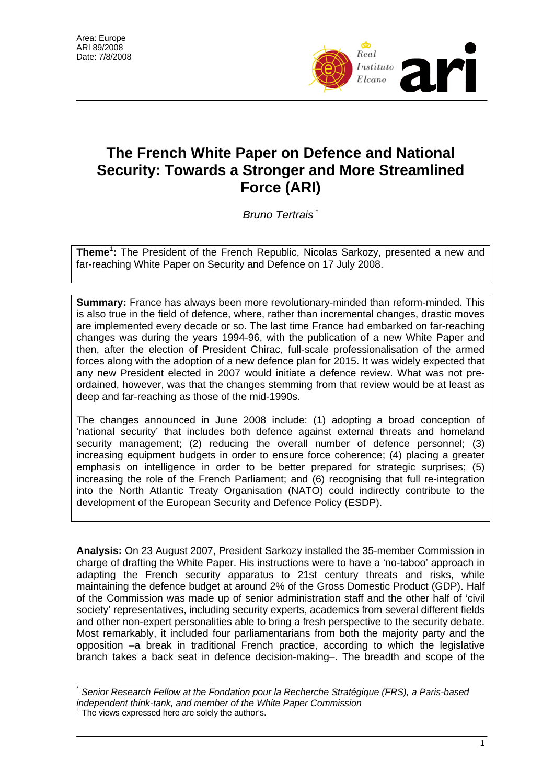

## **The French White Paper on Defence and National Security: Towards a Stronger and More Streamlined Force (ARI)**

*Bruno Tertrais* \*

**Theme<sup>1</sup>:** The President of the French Republic, Nicolas Sarkozy, presented a new and far-reaching White Paper on Security and Defence on 17 July 2008.

**Summary:** France has always been more revolutionary-minded than reform-minded. This is also true in the field of defence, where, rather than incremental changes, drastic moves are implemented every decade or so. The last time France had embarked on far-reaching changes was during the years 1994-96, with the publication of a new White Paper and then, after the election of President Chirac, full-scale professionalisation of the armed forces along with the adoption of a new defence plan for 2015. It was widely expected that any new President elected in 2007 would initiate a defence review. What was not preordained, however, was that the changes stemming from that review would be at least as deep and far-reaching as those of the mid-1990s.

The changes announced in June 2008 include: (1) adopting a broad conception of 'national security' that includes both defence against external threats and homeland security management; (2) reducing the overall number of defence personnel; (3) increasing equipment budgets in order to ensure force coherence; (4) placing a greater emphasis on intelligence in order to be better prepared for strategic surprises; (5) increasing the role of the French Parliament; and (6) recognising that full re-integration into the North Atlantic Treaty Organisation (NATO) could indirectly contribute to the development of the European Security and Defence Policy (ESDP).

**Analysis:** On 23 August 2007, President Sarkozy installed the 35-member Commission in charge of drafting the White Paper. His instructions were to have a 'no-taboo' approach in adapting the French security apparatus to 21st century threats and risks, while maintaining the defence budget at around 2% of the Gross Domestic Product (GDP). Half of the Commission was made up of senior administration staff and the other half of 'civil society' representatives, including security experts, academics from several different fields and other non-expert personalities able to bring a fresh perspective to the security debate. Most remarkably, it included four parliamentarians from both the majority party and the opposition –a break in traditional French practice, according to which the legislative branch takes a back seat in defence decision-making–. The breadth and scope of the

 $\overline{a}$ *\* Senior Research Fellow at the Fondation pour la Recherche Stratégique (FRS), a Paris-based independent think-tank, and member of the White Paper Commission*  1

The views expressed here are solely the author's.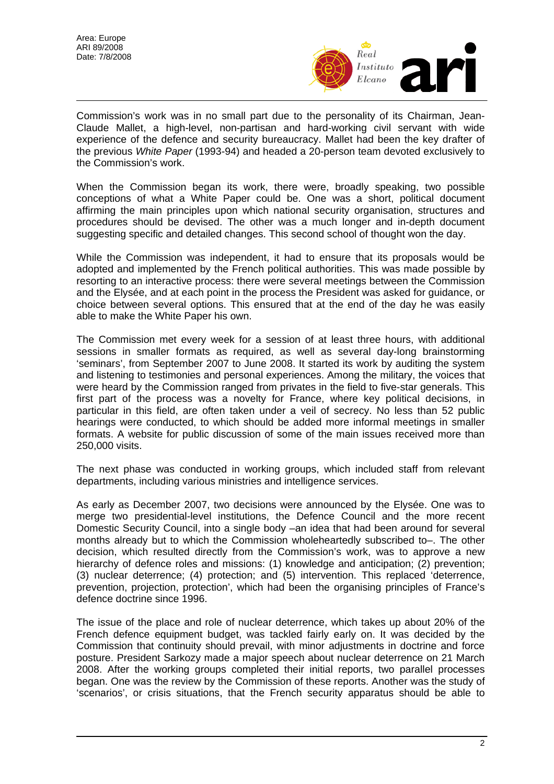

Commission's work was in no small part due to the personality of its Chairman, Jean-Claude Mallet, a high-level, non-partisan and hard-working civil servant with wide experience of the defence and security bureaucracy. Mallet had been the key drafter of the previous *White Paper* (1993-94) and headed a 20-person team devoted exclusively to the Commission's work.

When the Commission began its work, there were, broadly speaking, two possible conceptions of what a White Paper could be. One was a short, political document affirming the main principles upon which national security organisation, structures and procedures should be devised. The other was a much longer and in-depth document suggesting specific and detailed changes. This second school of thought won the day.

While the Commission was independent, it had to ensure that its proposals would be adopted and implemented by the French political authorities. This was made possible by resorting to an interactive process: there were several meetings between the Commission and the Elysée, and at each point in the process the President was asked for guidance, or choice between several options. This ensured that at the end of the day he was easily able to make the White Paper his own.

The Commission met every week for a session of at least three hours, with additional sessions in smaller formats as required, as well as several day-long brainstorming 'seminars', from September 2007 to June 2008. It started its work by auditing the system and listening to testimonies and personal experiences. Among the military, the voices that were heard by the Commission ranged from privates in the field to five-star generals. This first part of the process was a novelty for France, where key political decisions, in particular in this field, are often taken under a veil of secrecy. No less than 52 public hearings were conducted, to which should be added more informal meetings in smaller formats. A website for public discussion of some of the main issues received more than 250,000 visits.

The next phase was conducted in working groups, which included staff from relevant departments, including various ministries and intelligence services.

As early as December 2007, two decisions were announced by the Elysée. One was to merge two presidential-level institutions, the Defence Council and the more recent Domestic Security Council, into a single body –an idea that had been around for several months already but to which the Commission wholeheartedly subscribed to–. The other decision, which resulted directly from the Commission's work, was to approve a new hierarchy of defence roles and missions: (1) knowledge and anticipation; (2) prevention; (3) nuclear deterrence; (4) protection; and (5) intervention. This replaced 'deterrence, prevention, projection, protection', which had been the organising principles of France's defence doctrine since 1996.

The issue of the place and role of nuclear deterrence, which takes up about 20% of the French defence equipment budget, was tackled fairly early on. It was decided by the Commission that continuity should prevail, with minor adjustments in doctrine and force posture. President Sarkozy made a major speech about nuclear deterrence on 21 March 2008. After the working groups completed their initial reports, two parallel processes began. One was the review by the Commission of these reports. Another was the study of 'scenarios', or crisis situations, that the French security apparatus should be able to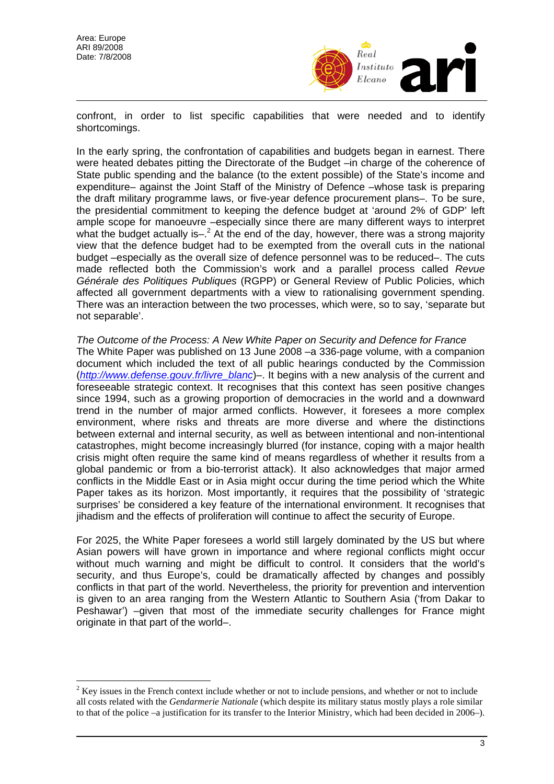$\overline{a}$ 



confront, in order to list specific capabilities that were needed and to identify shortcomings.

In the early spring, the confrontation of capabilities and budgets began in earnest. There were heated debates pitting the Directorate of the Budget –in charge of the coherence of State public spending and the balance (to the extent possible) of the State's income and expenditure– against the Joint Staff of the Ministry of Defence –whose task is preparing the draft military programme laws, or five-year defence procurement plans–. To be sure, the presidential commitment to keeping the defence budget at 'around 2% of GDP' left ample scope for manoeuvre –especially since there are many different ways to interpret what the budget actually is- $^2$  At the end of the day, however, there was a strong majority view that the defence budget had to be exempted from the overall cuts in the national budget –especially as the overall size of defence personnel was to be reduced–. The cuts made reflected both the Commission's work and a parallel process called *Revue Générale des Politiques Publiques* (RGPP) or General Review of Public Policies, which affected all government departments with a view to rationalising government spending. There was an interaction between the two processes, which were, so to say, 'separate but not separable'.

*The Outcome of the Process: A New White Paper on Security and Defence for France*  The White Paper was published on 13 June 2008 –a 336-page volume, with a companion document which included the text of all public hearings conducted by the Commission (*http://www.defense.gouv.fr/livre\_blanc*)–. It begins with a new analysis of the current and foreseeable strategic context. It recognises that this context has seen positive changes since 1994, such as a growing proportion of democracies in the world and a downward trend in the number of major armed conflicts. However, it foresees a more complex environment, where risks and threats are more diverse and where the distinctions between external and internal security, as well as between intentional and non-intentional catastrophes, might become increasingly blurred (for instance, coping with a major health crisis might often require the same kind of means regardless of whether it results from a global pandemic or from a bio-terrorist attack). It also acknowledges that major armed conflicts in the Middle East or in Asia might occur during the time period which the White Paper takes as its horizon. Most importantly, it requires that the possibility of 'strategic surprises' be considered a key feature of the international environment. It recognises that jihadism and the effects of proliferation will continue to affect the security of Europe.

For 2025, the White Paper foresees a world still largely dominated by the US but where Asian powers will have grown in importance and where regional conflicts might occur without much warning and might be difficult to control. It considers that the world's security, and thus Europe's, could be dramatically affected by changes and possibly conflicts in that part of the world. Nevertheless, the priority for prevention and intervention is given to an area ranging from the Western Atlantic to Southern Asia ('from Dakar to Peshawar') –given that most of the immediate security challenges for France might originate in that part of the world–.

 $2$  Key issues in the French context include whether or not to include pensions, and whether or not to include all costs related with the *Gendarmerie Nationale* (which despite its military status mostly plays a role similar to that of the police –a justification for its transfer to the Interior Ministry, which had been decided in 2006–).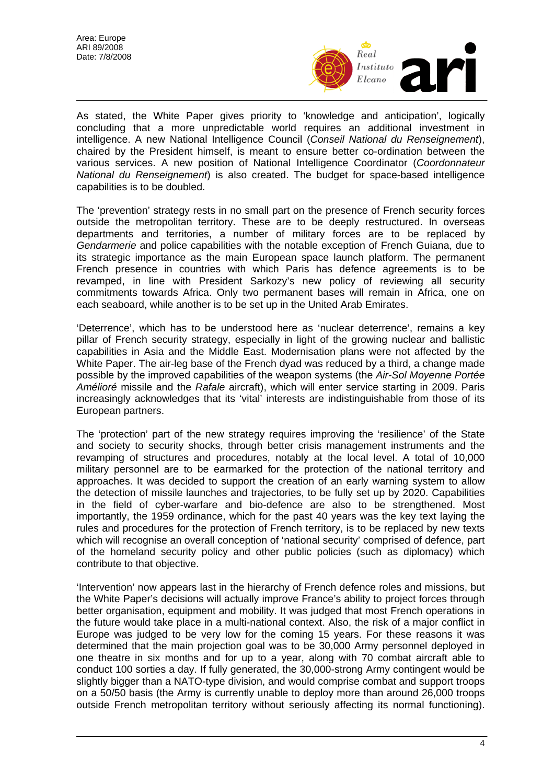

As stated, the White Paper gives priority to 'knowledge and anticipation', logically concluding that a more unpredictable world requires an additional investment in intelligence. A new National Intelligence Council (*Conseil National du Renseignement*), chaired by the President himself, is meant to ensure better co-ordination between the various services. A new position of National Intelligence Coordinator (*Coordonnateur National du Renseignement*) is also created. The budget for space-based intelligence capabilities is to be doubled.

The 'prevention' strategy rests in no small part on the presence of French security forces outside the metropolitan territory. These are to be deeply restructured. In overseas departments and territories, a number of military forces are to be replaced by *Gendarmerie* and police capabilities with the notable exception of French Guiana, due to its strategic importance as the main European space launch platform. The permanent French presence in countries with which Paris has defence agreements is to be revamped, in line with President Sarkozy's new policy of reviewing all security commitments towards Africa. Only two permanent bases will remain in Africa, one on each seaboard, while another is to be set up in the United Arab Emirates.

'Deterrence', which has to be understood here as 'nuclear deterrence', remains a key pillar of French security strategy, especially in light of the growing nuclear and ballistic capabilities in Asia and the Middle East. Modernisation plans were not affected by the White Paper. The air-leg base of the French dyad was reduced by a third, a change made possible by the improved capabilities of the weapon systems (the *Air-Sol Moyenne Portée Amélioré* missile and the *Rafale* aircraft), which will enter service starting in 2009. Paris increasingly acknowledges that its 'vital' interests are indistinguishable from those of its European partners.

The 'protection' part of the new strategy requires improving the 'resilience' of the State and society to security shocks, through better crisis management instruments and the revamping of structures and procedures, notably at the local level. A total of 10,000 military personnel are to be earmarked for the protection of the national territory and approaches. It was decided to support the creation of an early warning system to allow the detection of missile launches and trajectories, to be fully set up by 2020. Capabilities in the field of cyber-warfare and bio-defence are also to be strengthened. Most importantly, the 1959 ordinance, which for the past 40 years was the key text laying the rules and procedures for the protection of French territory, is to be replaced by new texts which will recognise an overall conception of 'national security' comprised of defence, part of the homeland security policy and other public policies (such as diplomacy) which contribute to that objective.

'Intervention' now appears last in the hierarchy of French defence roles and missions, but the White Paper's decisions will actually improve France's ability to project forces through better organisation, equipment and mobility. It was judged that most French operations in the future would take place in a multi-national context. Also, the risk of a major conflict in Europe was judged to be very low for the coming 15 years. For these reasons it was determined that the main projection goal was to be 30,000 Army personnel deployed in one theatre in six months and for up to a year, along with 70 combat aircraft able to conduct 100 sorties a day. If fully generated, the 30,000-strong Army contingent would be slightly bigger than a NATO-type division, and would comprise combat and support troops on a 50/50 basis (the Army is currently unable to deploy more than around 26,000 troops outside French metropolitan territory without seriously affecting its normal functioning).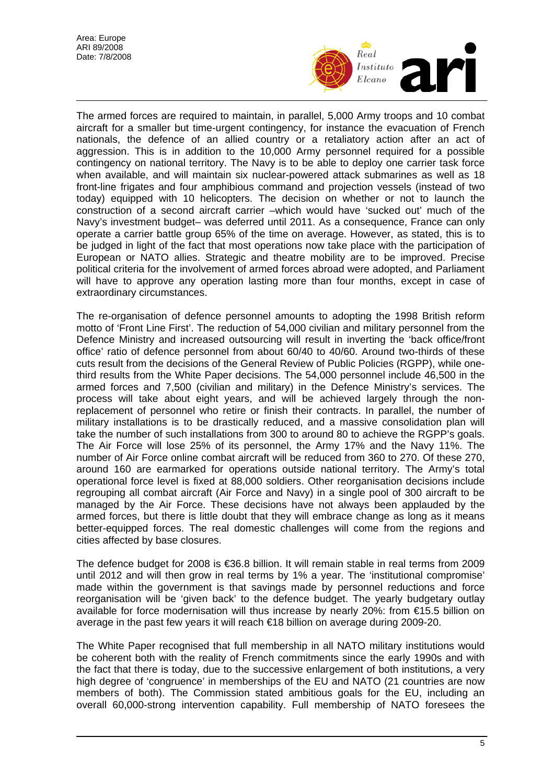

The armed forces are required to maintain, in parallel, 5,000 Army troops and 10 combat aircraft for a smaller but time-urgent contingency, for instance the evacuation of French nationals, the defence of an allied country or a retaliatory action after an act of aggression. This is in addition to the 10,000 Army personnel required for a possible contingency on national territory. The Navy is to be able to deploy one carrier task force when available, and will maintain six nuclear-powered attack submarines as well as 18 front-line frigates and four amphibious command and projection vessels (instead of two today) equipped with 10 helicopters. The decision on whether or not to launch the construction of a second aircraft carrier –which would have 'sucked out' much of the Navy's investment budget– was deferred until 2011. As a consequence, France can only operate a carrier battle group 65% of the time on average. However, as stated, this is to be judged in light of the fact that most operations now take place with the participation of European or NATO allies. Strategic and theatre mobility are to be improved. Precise political criteria for the involvement of armed forces abroad were adopted, and Parliament will have to approve any operation lasting more than four months, except in case of extraordinary circumstances.

The re-organisation of defence personnel amounts to adopting the 1998 British reform motto of 'Front Line First'. The reduction of 54,000 civilian and military personnel from the Defence Ministry and increased outsourcing will result in inverting the 'back office/front office' ratio of defence personnel from about 60/40 to 40/60. Around two-thirds of these cuts result from the decisions of the General Review of Public Policies (RGPP), while onethird results from the White Paper decisions. The 54,000 personnel include 46,500 in the armed forces and 7,500 (civilian and military) in the Defence Ministry's services. The process will take about eight years, and will be achieved largely through the nonreplacement of personnel who retire or finish their contracts. In parallel, the number of military installations is to be drastically reduced, and a massive consolidation plan will take the number of such installations from 300 to around 80 to achieve the RGPP's goals. The Air Force will lose 25% of its personnel, the Army 17% and the Navy 11%. The number of Air Force online combat aircraft will be reduced from 360 to 270. Of these 270, around 160 are earmarked for operations outside national territory. The Army's total operational force level is fixed at 88,000 soldiers. Other reorganisation decisions include regrouping all combat aircraft (Air Force and Navy) in a single pool of 300 aircraft to be managed by the Air Force. These decisions have not always been applauded by the armed forces, but there is little doubt that they will embrace change as long as it means better-equipped forces. The real domestic challenges will come from the regions and cities affected by base closures.

The defence budget for 2008 is €36.8 billion. It will remain stable in real terms from 2009 until 2012 and will then grow in real terms by 1% a year. The 'institutional compromise' made within the government is that savings made by personnel reductions and force reorganisation will be 'given back' to the defence budget. The yearly budgetary outlay available for force modernisation will thus increase by nearly 20%: from €15.5 billion on average in the past few years it will reach €18 billion on average during 2009-20.

The White Paper recognised that full membership in all NATO military institutions would be coherent both with the reality of French commitments since the early 1990s and with the fact that there is today, due to the successive enlargement of both institutions, a very high degree of 'congruence' in memberships of the EU and NATO (21 countries are now members of both). The Commission stated ambitious goals for the EU, including an overall 60,000-strong intervention capability. Full membership of NATO foresees the